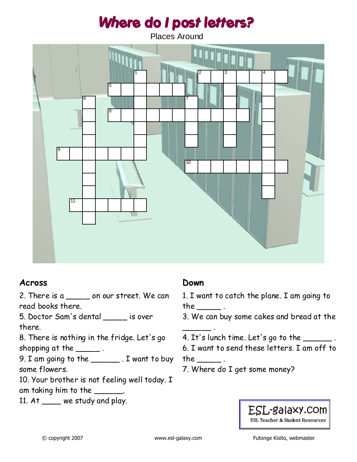# Where do I post letters?

Places Around



### **Across**

2. There is a same on our street. We can read books there.

5. Doctor Sam's dental \_\_\_\_\_ is over there.

8. There is nothing in the fridge. Let's go shopping at the  $\_\_\_\_\_\_\_\$  .

9. I am going to the \_\_\_\_\_\_.<br>9. I am going to the \_\_\_\_\_\_\_\_ . I want to buy some flowers.

10. Your brother is not feeling well today. I am taking him to the \_\_\_\_\_\_.

11. At \_\_\_\_ we study and play.

## **Down**

1. I want to catch the plane. I am going to the  $\_\_\_\_\_\$ .

3. We can buy some cakes and bread at the

4. It's lunch time. Let's go to the \_\_\_\_\_\_ .

6. I want to send these letters. I am off to

the  $\rule{1em}{0.15mm}$  .

 $\overline{\phantom{a}}$  .

7. Where do I get some money?